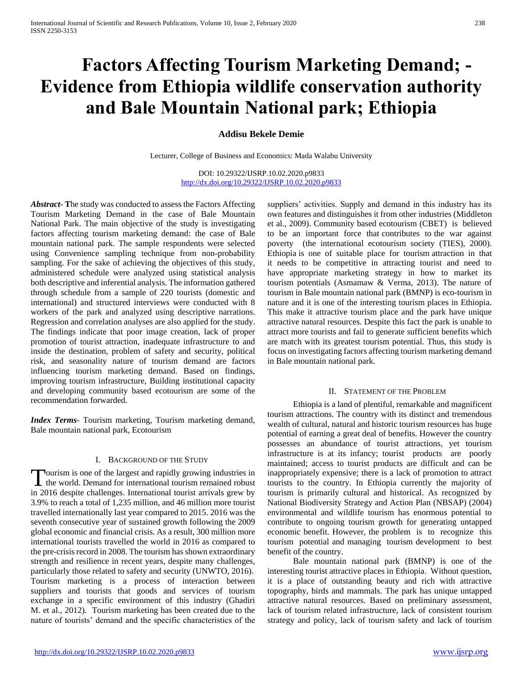# **Factors Affecting Tourism Marketing Demand; - Evidence from Ethiopia wildlife conservation authority and Bale Mountain National park; Ethiopia**

# **Addisu Bekele Demie**

Lecturer, College of Business and Economics: Mada Walabu University

DOI: 10.29322/IJSRP.10.02.2020.p9833 <http://dx.doi.org/10.29322/IJSRP.10.02.2020.p9833>

*Abstract***- T**he study was conducted to assess the Factors Affecting Tourism Marketing Demand in the case of Bale Mountain National Park. The main objective of the study is investigating factors affecting tourism marketing demand: the case of Bale mountain national park. The sample respondents were selected using Convenience sampling technique from non-probability sampling. For the sake of achieving the objectives of this study, administered schedule were analyzed using statistical analysis both descriptive and inferential analysis. The information gathered through schedule from a sample of 220 tourists (domestic and international) and structured interviews were conducted with 8 workers of the park and analyzed using descriptive narrations. Regression and correlation analyses are also applied for the study. The findings indicate that poor image creation, lack of proper promotion of tourist attraction, inadequate infrastructure to and inside the destination, problem of safety and security, political risk, and seasonality nature of tourism demand are factors influencing tourism marketing demand. Based on findings, improving tourism infrastructure, Building institutional capacity and developing community based ecotourism are some of the recommendation forwarded.

*Index Terms*- Tourism marketing, Tourism marketing demand, Bale mountain national park, Ecotourism

#### I. BACKGROUND OF THE STUDY

ourism is one of the largest and rapidly growing industries in Tourism is one of the largest and rapidly growing industries in<br>the world. Demand for international tourism remained robust in 2016 despite challenges. International tourist arrivals grew by 3.9% to reach a total of 1,235 million, and 46 million more tourist travelled internationally last year compared to 2015. 2016 was the seventh consecutive year of sustained growth following the 2009 global economic and financial crisis. As a result, 300 million more international tourists travelled the world in 2016 as compared to the pre-crisis record in 2008. The tourism has shown extraordinary strength and resilience in recent years, despite many challenges, particularly those related to safety and security (UNWTO, 2016). Tourism marketing is a process of interaction between suppliers and tourists that goods and services of tourism exchange in a specific environment of this industry (Ghadiri M. et al., 2012). Tourism marketing has been created due to the nature of tourists' demand and the specific characteristics of the

suppliers' activities. Supply and demand in this industry has its own features and distinguishes it from other industries (Middleton et al., 2009). Community based ecotourism (CBET) is believed to be an important force that contributes to the war against poverty (the international ecotourism society (TIES), 2000). Ethiopia is one of suitable place for tourism attraction in that it needs to be competitive in attracting tourist and need to have appropriate marketing strategy in how to market its tourism potentials (Asmamaw & Verma, 2013). The nature of tourism in Bale mountain national park (BMNP) is eco-tourism in nature and it is one of the interesting tourism places in Ethiopia. This make it attractive tourism place and the park have unique attractive natural resources. Despite this fact the park is unable to attract more tourists and fail to generate sufficient benefits which are match with its greatest tourism potential. Thus, this study is focus on investigating factors affecting tourism marketing demand in Bale mountain national park.

#### II. STATEMENT OF THE PROBLEM

 Ethiopia is a land of plentiful, remarkable and magnificent tourism attractions. The country with its distinct and tremendous wealth of cultural, natural and historic tourism resources has huge potential of earning a great deal of benefits. However the country possesses an abundance of tourist attractions, yet tourism infrastructure is at its infancy; tourist products are poorly maintained; access to tourist products are difficult and can be inappropriately expensive; there is a lack of promotion to attract tourists to the country. In Ethiopia currently the majority of tourism is primarily cultural and historical. As recognized by National Biodiversity Strategy and Action Plan (NBSAP) (2004) environmental and wildlife tourism has enormous potential to contribute to ongoing tourism growth for generating untapped economic benefit. However, the problem is to recognize this tourism potential and managing tourism development to best benefit of the country.

 Bale mountain national park (BMNP) is one of the interesting tourist attractive places in Ethiopia. Without question, it is a place of outstanding beauty and rich with attractive topography, birds and mammals. The park has unique untapped attractive natural resources. Based on preliminary assessment, lack of tourism related infrastructure, lack of consistent tourism strategy and policy, lack of tourism safety and lack of tourism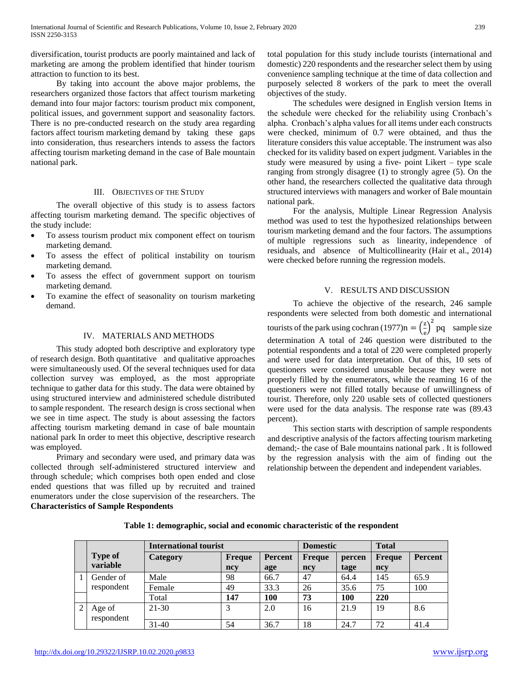diversification, tourist products are poorly maintained and lack of marketing are among the problem identified that hinder tourism attraction to function to its best.

 By taking into account the above major problems, the researchers organized those factors that affect tourism marketing demand into four major factors: tourism product mix component, political issues, and government support and seasonality factors. There is no pre-conducted research on the study area regarding factors affect tourism marketing demand by taking these gaps into consideration, thus researchers intends to assess the factors affecting tourism marketing demand in the case of Bale mountain national park.

## III. OBJECTIVES OF THE STUDY

 The overall objective of this study is to assess factors affecting tourism marketing demand. The specific objectives of the study include:

- To assess tourism product mix component effect on tourism marketing demand.
- To assess the effect of political instability on tourism marketing demand.
- To assess the effect of government support on tourism marketing demand.
- To examine the effect of seasonality on tourism marketing demand.

## IV. MATERIALS AND METHODS

 This study adopted both descriptive and exploratory type of research design. Both quantitative and qualitative approaches were simultaneously used. Of the several techniques used for data collection survey was employed, as the most appropriate technique to gather data for this study. The data were obtained by using structured interview and administered schedule distributed to sample respondent. The research design is cross sectional when we see in time aspect. The study is about assessing the factors affecting tourism marketing demand in case of bale mountain national park In order to meet this objective, descriptive research was employed.

 Primary and secondary were used, and primary data was collected through self-administered structured interview and through schedule; which comprises both open ended and close ended questions that was filled up by recruited and trained enumerators under the close supervision of the researchers. The **Characteristics of Sample Respondents**

total population for this study include tourists (international and domestic) 220 respondents and the researcher select them by using convenience sampling technique at the time of data collection and purposely selected 8 workers of the park to meet the overall objectives of the study.

 The schedules were designed in English version Items in the schedule were checked for the reliability using Cronbach's alpha. Cronbach's alpha values for all items under each constructs were checked, minimum of 0.7 were obtained, and thus the literature considers this value acceptable. The instrument was also checked for its validity based on expert judgment. Variables in the study were measured by using a five- point Likert – type scale ranging from strongly disagree (1) to strongly agree (5). On the other hand, the researchers collected the qualitative data through structured interviews with managers and worker of Bale mountain national park.

 For the analysis, Multiple Linear Regression Analysis method was used to test the hypothesized relationships between tourism marketing demand and the four factors. The assumptions of multiple regressions such as linearity, independence of residuals, and absence of Multicollinearity (Hair et al., 2014) were checked before running the regression models.

## V. RESULTS AND DISCUSSION

 To achieve the objective of the research, 246 sample respondents were selected from both domestic and international tourists of the park using cochran (1977)n =  $\left(\frac{z}{z}\right)$  $\left(\frac{z}{e}\right)^2$  pq sample size determination A total of 246 question were distributed to the potential respondents and a total of 220 were completed properly and were used for data interpretation. Out of this, 10 sets of questioners were considered unusable because they were not properly filled by the enumerators, while the reaming 16 of the questioners were not filled totally because of unwillingness of tourist. Therefore, only 220 usable sets of collected questioners were used for the data analysis. The response rate was (89.43 percent).

 This section starts with description of sample respondents and descriptive analysis of the factors affecting tourism marketing demand;- the case of Bale mountains national park . It is followed by the regression analysis with the aim of finding out the relationship between the dependent and independent variables.

|                | <b>International tourist</b> |               |                | <b>Domestic</b> |            | <b>Total</b>  |                |
|----------------|------------------------------|---------------|----------------|-----------------|------------|---------------|----------------|
| <b>Type of</b> | Category                     | <b>Freque</b> | <b>Percent</b> | Freque          | percen     | <b>Freque</b> | <b>Percent</b> |
| variable       |                              | ncy           | age            | ncy             | tage       | ncy           |                |
| Gender of      | Male                         | 98            | 66.7           | 47              | 64.4       | 145           | 65.9           |
| respondent     | Female                       | 49            | 33.3           | 26              | 35.6       | 75            | 100            |
|                | Total                        | 147           | <b>100</b>     | 73              | <b>100</b> | 220           |                |
| Age of         | $21 - 30$                    | 3             | 2.0            | 16              | 21.9       | 19            | 8.6            |
| respondent     |                              |               |                |                 |            |               |                |
|                | $31-40$                      | 54            | 36.7           | 18              | 24.7       | 72            | 41.4           |

**Table 1: demographic, social and economic characteristic of the respondent**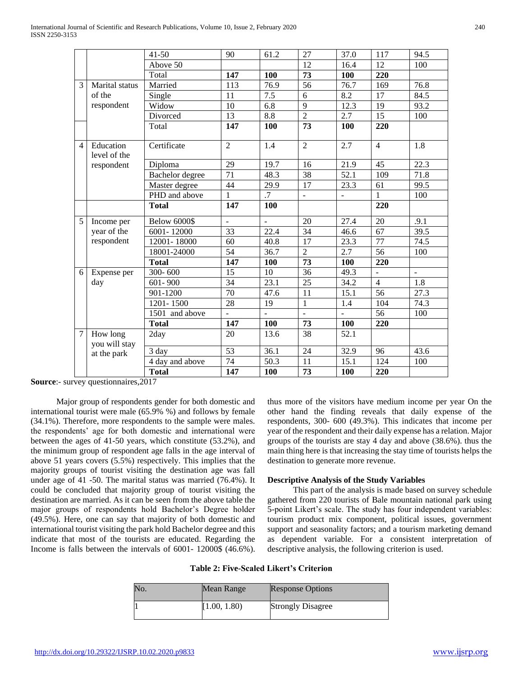|                |                           | $41 - 50$              | 90              | 61.2          | 27              | 37.0                     | 117              | 94.5 |
|----------------|---------------------------|------------------------|-----------------|---------------|-----------------|--------------------------|------------------|------|
|                |                           | Above 50               |                 |               | 12              | 16.4                     | 12               | 100  |
|                |                           | Total                  | 147             | 100           | 73              | 100                      | 220              |      |
| 3              | Marital status            | Married                | 113             | 76.9          | 56              | 76.7                     | 169              | 76.8 |
|                | of the                    | Single                 | 11              | 7.5           | 6               | 8.2                      | $\overline{17}$  | 84.5 |
|                | respondent                | Widow                  | 10              | 6.8           | 9               | 12.3                     | 19               | 93.2 |
|                |                           | Divorced               | 13              | 8.8           | $\overline{2}$  | 2.7                      | 15               | 100  |
|                |                           | Total                  | 147             | 100           | 73              | 100                      | 220              |      |
| $\overline{4}$ | Education<br>level of the | Certificate            | $\overline{2}$  | 1.4           | $\overline{2}$  | 2.7                      | $\overline{4}$   | 1.8  |
|                | respondent                | Diploma                | 29              | 19.7          | 16              | 21.9                     | 45               | 22.3 |
|                |                           | <b>Bachelor</b> degree | $\overline{71}$ | 48.3          | $\overline{38}$ | 52.1                     | 109              | 71.8 |
|                |                           | Master degree          | 44              | 29.9          | 17              | 23.3                     | 61               | 99.5 |
|                |                           | PHD and above          | 1               | .7            | $\frac{1}{2}$   | $\overline{\phantom{a}}$ | 1                | 100  |
|                |                           | <b>Total</b>           | 147             | 100           |                 |                          | $\overline{220}$ |      |
| 5              | Income per                | <b>Below 6000\$</b>    | ÷,              | ÷,            | 20              | 27.4                     | 20               | .9.1 |
|                | year of the               | 6001-12000             | 33              | 22.4          | 34              | 46.6                     | 67               | 39.5 |
|                | respondent                | 12001-18000            | 60              | 40.8          | 17              | 23.3                     | 77               | 74.5 |
|                |                           | 18001-24000            | 54              | 36.7          | $\overline{2}$  | 2.7                      | 56               | 100  |
|                |                           | <b>Total</b>           | 147             | 100           | 73              | 100                      | 220              |      |
| 6              | Expense per               | 300-600                | 15              | 10            | 36              | 49.3                     |                  | ÷,   |
|                | day                       | $601 - 900$            | 34              | 23.1          | 25              | 34.2                     | $\overline{4}$   | 1.8  |
|                |                           | 901-1200               | 70              | 47.6          | 11              | 15.1                     | $\overline{56}$  | 27.3 |
|                |                           | 1201-1500              | 28              | 19            | $\mathbf{1}$    | 1.4                      | 104              | 74.3 |
|                |                           | 1501 and above         |                 | $\frac{1}{2}$ | $\blacksquare$  |                          | 56               | 100  |
|                |                           | <b>Total</b>           | 147             | 100           | 73              | 100                      | 220              |      |
| $\tau$         | How long<br>you will stay | 2day                   | 20              | 13.6          | 38              | 52.1                     |                  |      |
|                | at the park               | 3 day                  | $\overline{53}$ | 36.1          | 24              | 32.9                     | 96               | 43.6 |
|                |                           | 4 day and above        | 74              | 50.3          | 11              | 15.1                     | 124              | 100  |
|                |                           | <b>Total</b>           | 147             | 100           | 73              | 100                      | 220              |      |

**Source:**- survey questionnaires, 2017

 Major group of respondents gender for both domestic and international tourist were male (65.9% %) and follows by female (34.1%). Therefore, more respondents to the sample were males. the respondents' age for both domestic and international were between the ages of 41-50 years, which constitute (53.2%), and the minimum group of respondent age falls in the age interval of above 51 years covers (5.5%) respectively. This implies that the majority groups of tourist visiting the destination age was fall under age of 41 -50. The marital status was married (76.4%). It could be concluded that majority group of tourist visiting the destination are married. As it can be seen from the above table the major groups of respondents hold Bachelor's Degree holder (49.5%). Here, one can say that majority of both domestic and international tourist visiting the park hold Bachelor degree and this indicate that most of the tourists are educated. Regarding the Income is falls between the intervals of 6001- 12000\$ (46.6%). thus more of the visitors have medium income per year On the other hand the finding reveals that daily expense of the respondents, 300- 600 (49.3%). This indicates that income per year of the respondent and their daily expense has a relation. Major groups of the tourists are stay 4 day and above (38.6%). thus the main thing here is that increasing the stay time of tourists helps the destination to generate more revenue.

#### **Descriptive Analysis of the Study Variables**

 This part of the analysis is made based on survey schedule gathered from 220 tourists of Bale mountain national park using 5-point Likert's scale. The study has four independent variables: tourism product mix component, political issues, government support and seasonality factors; and a tourism marketing demand as dependent variable. For a consistent interpretation of descriptive analysis, the following criterion is used.

| No. | Mean Range   | <b>Response Options</b>  |
|-----|--------------|--------------------------|
|     | [1.00, 1.80) | <b>Strongly Disagree</b> |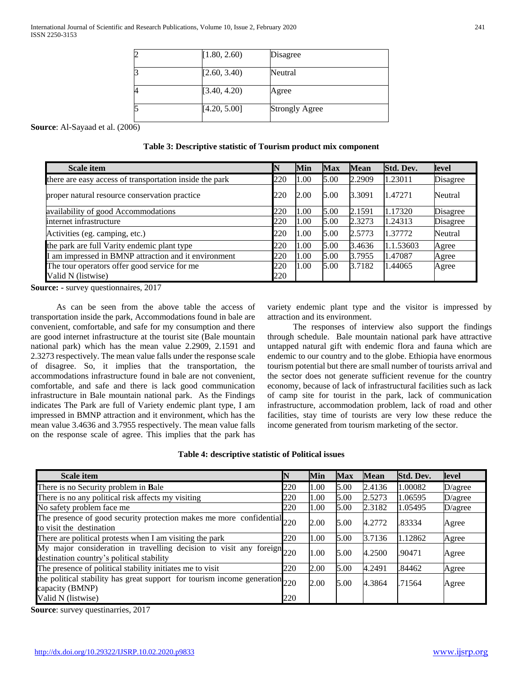| [1.80, 2.60) | Disagree              |
|--------------|-----------------------|
| [2.60, 3.40) | Neutral               |
| [3.40, 4.20) | Agree                 |
| [4.20, 5.00] | <b>Strongly Agree</b> |

**Source**: Al-Sayaad et al. (2006)

| Table 3: Descriptive statistic of Tourism product mix component |  |  |  |
|-----------------------------------------------------------------|--|--|--|
|-----------------------------------------------------------------|--|--|--|

| <b>Scale item</b>                                       | $\mathbb N$ | Min  | <b>Max</b> | <b>Mean</b> | Std. Dev. | level           |
|---------------------------------------------------------|-------------|------|------------|-------------|-----------|-----------------|
| there are easy access of transportation inside the park | 220         | 1.00 | 5.00       | 2.2909      | 1.23011   | <b>Disagree</b> |
| proper natural resource conservation practice           | 220         | 2.00 | 5.00       | 3.3091      | 1.47271   | Neutral         |
| availability of good Accommodations                     | 220         | 1.00 | 5.00       | 2.1591      | 1.17320   | Disagree        |
| internet infrastructure                                 | 220         | 1.00 | 5.00       | 2.3273      | 1.24313   | Disagree        |
| Activities (eg. camping, etc.)                          | 220         | 1.00 | 5.00       | 2.5773      | 1.37772   | Neutral         |
| the park are full Varity endemic plant type             | 220         | 1.00 | 5.00       | 3.4636      | 1.1.53603 | Agree           |
| am impressed in BMNP attraction and it environment      | 220         | 1.00 | 5.00       | 3.7955      | 1.47087   | Agree           |
| The tour operators offer good service for me            | 220         | 1.00 | 5.00       | 3.7182      | 1.44065   | Agree           |
| Valid N (listwise)                                      | 220         |      |            |             |           |                 |

**Source: -** survey questionnaires, 2017

 As can be seen from the above table the access of transportation inside the park, Accommodations found in bale are convenient, comfortable, and safe for my consumption and there are good internet infrastructure at the tourist site (Bale mountain national park) which has the mean value 2.2909, 2.1591 and 2.3273 respectively. The mean value falls under the response scale of disagree. So, it implies that the transportation, the accommodations infrastructure found in bale are not convenient, comfortable, and safe and there is lack good communication infrastructure in Bale mountain national park. As the Findings indicates The Park are full of Variety endemic plant type, I am impressed in BMNP attraction and it environment, which has the mean value 3.4636 and 3.7955 respectively. The mean value falls on the response scale of agree. This implies that the park has

variety endemic plant type and the visitor is impressed by attraction and its environment.

 The responses of interview also support the findings through schedule. Bale mountain national park have attractive untapped natural gift with endemic flora and fauna which are endemic to our country and to the globe. Ethiopia have enormous tourism potential but there are small number of tourists arrival and the sector does not generate sufficient revenue for the country economy, because of lack of infrastructural facilities such as lack of camp site for tourist in the park, lack of communication infrastructure, accommodation problem, lack of road and other facilities, stay time of tourists are very low these reduce the income generated from tourism marketing of the sector.

| Table 4: descriptive statistic of Political issues |  |  |  |  |  |
|----------------------------------------------------|--|--|--|--|--|
|----------------------------------------------------|--|--|--|--|--|

| Scale item                                                                                                          | IN  | Min  | <b>Max</b> | <b>Mean</b> | Std. Dev. | level   |
|---------------------------------------------------------------------------------------------------------------------|-----|------|------------|-------------|-----------|---------|
| There is no Security problem in Bale                                                                                | 220 | 1.00 | 5.00       | 2.4136      | 1.00082   | D/agree |
| There is no any political risk affects my visiting                                                                  | 220 | 1.00 | 5.00       | 2.5273      | 1.06595   | D/agree |
| No safety problem face me                                                                                           | 220 | 1.00 | 5.00       | 2.3182      | 1.05495   | D/agree |
| The presence of good security protection makes me more confidential 220<br>to visit the destination                 |     | 2.00 | 5.00       | 4.2772      | .83334    | Agree   |
| There are political protests when I am visiting the park                                                            | 220 | 1.00 | 5.00       | 3.7136      | 1.12862   | Agree   |
| My major consideration in travelling decision to visit any foreign 220<br>destination country's political stability |     | 1.00 | 5.00       | 4.2500      | .90471    | Agree   |
| The presence of political stability initiates me to visit                                                           | 220 | 2.00 | 5.00       | 4.2491      | .84462    | Agree   |
| the political stability has great support for tourism income generation 220<br>capacity (BMNP)                      |     | 2.00 | 5.00       | 4.3864      | .71564    | Agree   |
| Valid N (listwise)                                                                                                  | 220 |      |            |             |           |         |

**Source**: survey questinarries, 2017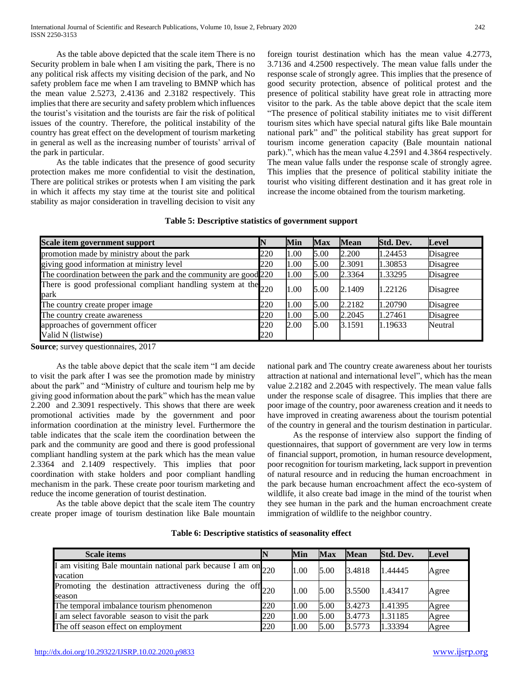As the table above depicted that the scale item There is no Security problem in bale when I am visiting the park, There is no any political risk affects my visiting decision of the park, and No safety problem face me when I am traveling to BMNP which has the mean value 2.5273, 2.4136 and 2.3182 respectively. This implies that there are security and safety problem which influences the tourist's visitation and the tourists are fair the risk of political issues of the country. Therefore, the political instability of the country has great effect on the development of tourism marketing in general as well as the increasing number of tourists' arrival of the park in particular.

 As the table indicates that the presence of good security protection makes me more confidential to visit the destination, There are political strikes or protests when I am visiting the park in which it affects my stay time at the tourist site and political stability as major consideration in travelling decision to visit any foreign tourist destination which has the mean value 4.2773, 3.7136 and 4.2500 respectively. The mean value falls under the response scale of strongly agree. This implies that the presence of good security protection, absence of political protest and the presence of political stability have great role in attracting more visitor to the park. As the table above depict that the scale item "The presence of political stability initiates me to visit different tourism sites which have special natural gifts like Bale mountain national park" and" the political stability has great support for tourism income generation capacity (Bale mountain national park).", which has the mean value 4.2591 and 4.3864 respectively. The mean value falls under the response scale of strongly agree. This implies that the presence of political stability initiate the tourist who visiting different destination and it has great role in increase the income obtained from the tourism marketing.

# **Table 5: Descriptive statistics of government support**

| Scale item government support                                           |            | Min  | <b>Max</b> | <b>Mean</b> | Std. Dev. | Level           |
|-------------------------------------------------------------------------|------------|------|------------|-------------|-----------|-----------------|
| promotion made by ministry about the park                               | 220        | 1.00 | 5.00       | 2.200       | 1.24453   | Disagree        |
| giving good information at ministry level                               | 220        | 1.00 | 5.00       | 2.3091      | 1.30853   | <b>Disagree</b> |
| The coordination between the park and the community are good 220        |            | 1.00 | 5.00       | 2.3364      | 1.33295   | <b>Disagree</b> |
| There is good professional compliant handling system at the 220<br>park |            | 1.00 | 5.00       | 2.1409      | 1.22126   | Disagree        |
| The country create proper image                                         | 220        | 1.00 | 5.00       | 2.2182      | 1.20790   | <b>Disagree</b> |
| The country create awareness                                            | 220        | 1.00 | 5.00       | 2.2045      | 1.27461   | <b>Disagree</b> |
| approaches of government officer<br>Valid N (listwise)                  | 220<br>220 | 2.00 | 5.00       | 3.1591      | 1.19633   | Neutral         |

**Source**; survey questionnaires, 2017

 As the table above depict that the scale item "I am decide to visit the park after I was see the promotion made by ministry about the park" and "Ministry of culture and tourism help me by giving good information about the park" which has the mean value 2.200 and 2.3091 respectively. This shows that there are week promotional activities made by the government and poor information coordination at the ministry level. Furthermore the table indicates that the scale item the coordination between the park and the community are good and there is good professional compliant handling system at the park which has the mean value 2.3364 and 2.1409 respectively. This implies that poor coordination with stake holders and poor compliant handling mechanism in the park. These create poor tourism marketing and reduce the income generation of tourist destination.

 As the table above depict that the scale item The country create proper image of tourism destination like Bale mountain national park and The country create awareness about her tourists attraction at national and international level", which has the mean value 2.2182 and 2.2045 with respectively. The mean value falls under the response scale of disagree. This implies that there are poor image of the country, poor awareness creation and it needs to have improved in creating awareness about the tourism potential of the country in general and the tourism destination in particular.

 As the response of interview also support the finding of questionnaires, that support of government are very low in terms of financial support, promotion, in human resource development, poor recognition for tourism marketing, lack support in prevention of natural resource and in reducing the human encroachment in the park because human encroachment affect the eco-system of wildlife, it also create bad image in the mind of the tourist when they see human in the park and the human encroachment create immigration of wildlife to the neighbor country.

| <b>Scale items</b>                                                            |     | Min  | <b>Max</b> | <b>Mean</b> | Std. Dev. | Level |
|-------------------------------------------------------------------------------|-----|------|------------|-------------|-----------|-------|
| I am visiting Bale mountain national park because I am on 220<br>vacation     |     | 1.00 | 5.00       | 3.4818      | 1.44445   | Agree |
| Promoting<br>the destination attractiveness during the off $_{220}$<br>season |     | 1.00 | 5.00       | 3.5500      | 1.43417   | Agree |
| The temporal imbalance tourism phenomenon                                     | 220 | 1.00 | 5.00       | 3.4273      | 1.41395   | Agree |
| I am select favorable season to visit the park                                | 220 | 1.00 | 5.00       | 3.4773      | 1.31185   | Agree |
| The off season effect on employment                                           | 220 | 1.00 | 5.00       | 3.5773      | 1.33394   | Agree |

**Table 6: Descriptive statistics of seasonality effect**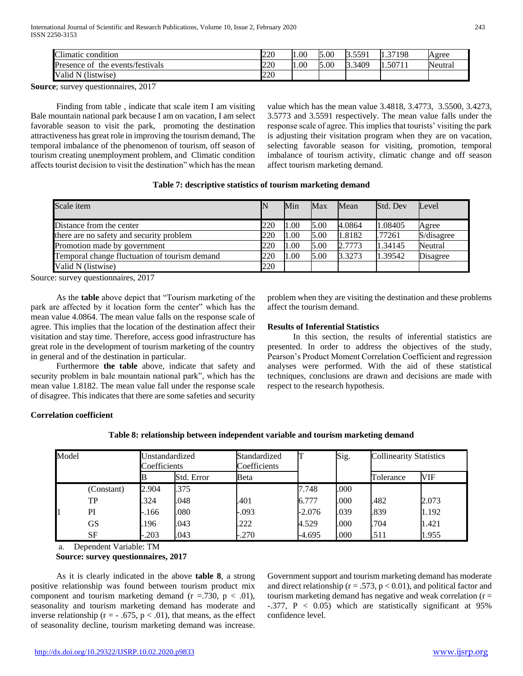| Climatic condition                  | <b>220</b> | 1.00 | 5.00<br>Ιc | 5501<br>D.JJ71       | 37198  | Agree   |
|-------------------------------------|------------|------|------------|----------------------|--------|---------|
| the events/festivals<br>Presence of | 220        | 1.00 | 5.00<br>Ιc | 3.3409<br><b>D.S</b> | .5071' | Neutral |
| (listwise)<br>Valid<br>. N          | 220        |      |            |                      |        |         |

**Source**; survey questionnaires, 2017

 Finding from table , indicate that scale item I am visiting Bale mountain national park because I am on vacation, I am select favorable season to visit the park, promoting the destination attractiveness has great role in improving the tourism demand, The temporal imbalance of the phenomenon of tourism, off season of tourism creating unemployment problem, and Climatic condition affects tourist decision to visit the destination" which has the mean value which has the mean value 3.4818, 3.4773, 3.5500, 3.4273, 3.5773 and 3.5591 respectively. The mean value falls under the response scale of agree. This implies that tourists' visiting the park is adjusting their visitation program when they are on vacation, selecting favorable season for visiting, promotion, temporal imbalance of tourism activity, climatic change and off season affect tourism marketing demand.

|  |  | Table 7: descriptive statistics of tourism marketing demand |  |  |  |  |  |
|--|--|-------------------------------------------------------------|--|--|--|--|--|
|--|--|-------------------------------------------------------------|--|--|--|--|--|

| Scale item                                    |     | Min  | Max  | Mean   | Std. Dev | Level      |
|-----------------------------------------------|-----|------|------|--------|----------|------------|
| Distance from the center                      | 220 | .00. | 5.00 | 4.0864 | 1.08405  | Agree      |
| there are no safety and security problem      | 220 | 1.00 | 5.00 | 1.8182 | .77261   | S/disagree |
| Promotion made by government                  | 220 | .00  | 5.00 | 2.7773 | 1.34145  | Neutral    |
| Temporal change fluctuation of tourism demand | 220 | .00. | 5.00 | 3.3273 | 1.39542  | Disagree   |
| Valid N (listwise)                            | 220 |      |      |        |          |            |

Source: survey questionnaires, 2017

 As the **table** above depict that "Tourism marketing of the park are affected by it location form the center" which has the mean value 4.0864. The mean value falls on the response scale of agree. This implies that the location of the destination affect their visitation and stay time. Therefore, access good infrastructure has great role in the development of tourism marketing of the country in general and of the destination in particular.

 Furthermore **the table** above, indicate that safety and security problem in bale mountain national park", which has the mean value 1.8182. The mean value fall under the response scale of disagree. This indicates that there are some safeties and security problem when they are visiting the destination and these problems affect the tourism demand.

# **Results of Inferential Statistics**

 In this section, the results of inferential statistics are presented. In order to address the objectives of the study, Pearson's Product Moment Correlation Coefficient and regression analyses were performed. With the aid of these statistical techniques, conclusions are drawn and decisions are made with respect to the research hypothesis.

# **Correlation coefficient**

| Model |            | Coefficients | Unstandardized | Standardized<br>Coefficients |          | Sig. | <b>Collinearity Statistics</b> |       |  |
|-------|------------|--------------|----------------|------------------------------|----------|------|--------------------------------|-------|--|
|       |            |              | Std. Error     | Beta                         |          |      | Tolerance                      | VIF   |  |
|       | (Constant) | 2.904        | .375           |                              | 7.748    | .000 |                                |       |  |
|       | TP         | .324         | .048           | .401                         | 6.777    | .000 | .482                           | 2.073 |  |
|       | PI         | $-.166$      | .080           | $-.093$                      | $-2.076$ | .039 | .839                           | 1.192 |  |
|       | <b>GS</b>  | .196         | .043           | .222                         | 4.529    | .000 | .704                           | 1.421 |  |
|       | SF         | $-.203$      | .043           | $-.270$                      | $-4.695$ | .000 | .511                           | 1.955 |  |

**Table 8: relationship between independent variable and tourism marketing demand**

a. Dependent Variable: TM

**Source: survey questionnaires, 2017**

 As it is clearly indicated in the above **table 8**, a strong positive relationship was found between tourism product mix component and tourism marketing demand  $(r = .730, p < .01)$ , seasonality and tourism marketing demand has moderate and inverse relationship ( $r = -0.675$ ,  $p < 0.01$ ), that means, as the effect of seasonality decline, tourism marketing demand was increase.

Government support and tourism marketing demand has moderate and direct relationship ( $r = .573$ ,  $p < 0.01$ ), and political factor and tourism marketing demand has negative and weak correlation  $(r =$  $-.377, P < 0.05$ ) which are statistically significant at 95% confidence level.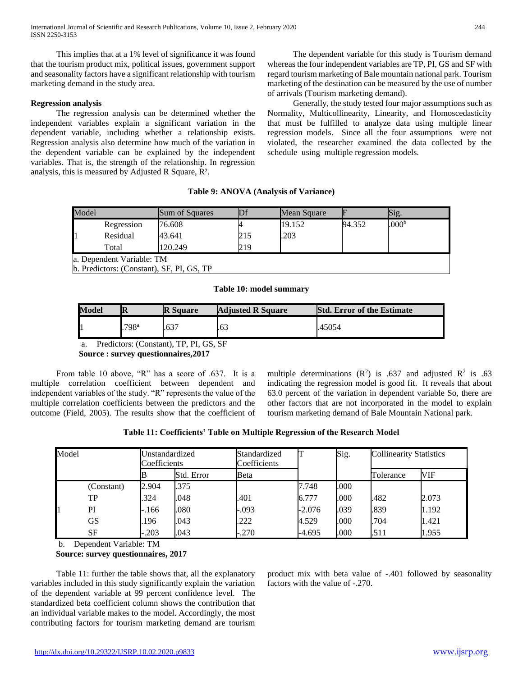This implies that at a 1% level of significance it was found that the tourism product mix, political issues, government support and seasonality factors have a significant relationship with tourism marketing demand in the study area.

## **Regression analysis**

 The regression analysis can be determined whether the independent variables explain a significant variation in the dependent variable, including whether a relationship exists. Regression analysis also determine how much of the variation in the dependent variable can be explained by the independent variables. That is, the strength of the relationship. In regression analysis, this is measured by Adjusted R Square, R².

 The dependent variable for this study is Tourism demand whereas the four independent variables are TP, PI, GS and SF with regard tourism marketing of Bale mountain national park. Tourism marketing of the destination can be measured by the use of number of arrivals (Tourism marketing demand).

 Generally, the study tested four major assumptions such as Normality, Multicollinearity, Linearity, and Homoscedasticity that must be fulfilled to analyze data using multiple linear regression models. Since all the four assumptions were not violated, the researcher examined the data collected by the schedule using multiple regression models.

**Table 9: ANOVA (Analysis of Variance)**

| Model                     |                                           | Sum of Squares | $\mathbb{D}$ f | Mean Square | E      | Sig.              |  |  |
|---------------------------|-------------------------------------------|----------------|----------------|-------------|--------|-------------------|--|--|
|                           | Regression                                | 76.608         |                | 19.152      | 94.352 | .000 <sup>b</sup> |  |  |
|                           | Residual                                  | 43.641         | 215            | .203        |        |                   |  |  |
|                           | Total                                     | 120.249        | 219            |             |        |                   |  |  |
| a. Dependent Variable: TM |                                           |                |                |             |        |                   |  |  |
|                           | b. Predictors: (Constant), SF, PI, GS, TP |                |                |             |        |                   |  |  |

**Table 10: model summary**

| .798ª<br>.63 <sup>2</sup><br>.63<br>.45054 | Model | IR | <b>R</b> Square | <b>Adjusted R Square</b> | <b>Std. Error of the Estimate</b> |
|--------------------------------------------|-------|----|-----------------|--------------------------|-----------------------------------|
|                                            |       |    |                 |                          |                                   |

a. Predictors: (Constant), TP, PI, GS, SF

**Source : survey questionnaires,2017**

 From table 10 above, "R" has a score of .637. It is a multiple correlation coefficient between dependent and independent variables of the study. "R" represents the value of the multiple correlation coefficients between the predictors and the outcome (Field, 2005). The results show that the coefficient of

multiple determinations  $(R^2)$  is .637 and adjusted  $R^2$  is .63 indicating the regression model is good fit. It reveals that about 63.0 percent of the variation in dependent variable So, there are other factors that are not incorporated in the model to explain tourism marketing demand of Bale Mountain National park.

| Table 11: Coefficients' Table on Multiple Regression of the Research Model |  |  |  |  |
|----------------------------------------------------------------------------|--|--|--|--|
|----------------------------------------------------------------------------|--|--|--|--|

| Model |            | Unstandardized<br>Coefficients |            | Standardized<br>Coefficients |          | Sig. | <b>Collinearity Statistics</b> |       |
|-------|------------|--------------------------------|------------|------------------------------|----------|------|--------------------------------|-------|
|       |            |                                | Std. Error | Beta                         |          |      | Tolerance                      | VIF   |
|       | (Constant) | 2.904                          | .375       |                              | 7.748    | .000 |                                |       |
|       | TP         | .324                           | .048       | .401                         | 6.777    | .000 | .482                           | 2.073 |
|       | PI         | $-.166$                        | .080       | $-.093$                      | $-2.076$ | .039 | .839                           | 1.192 |
|       | <b>GS</b>  | .196                           | .043       | .222                         | 4.529    | .000 | .704                           | 1.421 |
|       | SF         | $-0.203$                       | .043       | $-.270$                      | -4.695   | .000 | .511                           | 1.955 |

b. Dependent Variable: TM

## **Source: survey questionnaires, 2017**

 Table 11: further the table shows that, all the explanatory variables included in this study significantly explain the variation of the dependent variable at 99 percent confidence level. The standardized beta coefficient column shows the contribution that an individual variable makes to the model. Accordingly, the most contributing factors for tourism marketing demand are tourism product mix with beta value of -.401 followed by seasonality factors with the value of -.270.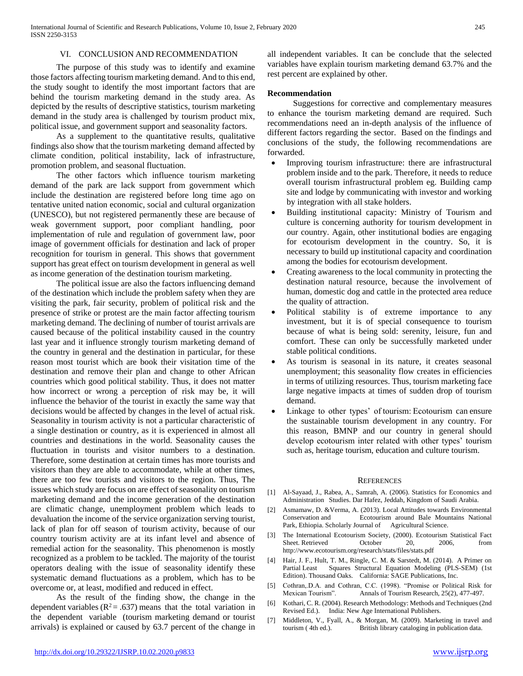## VI. CONCLUSION AND RECOMMENDATION

 The purpose of this study was to identify and examine those factors affecting tourism marketing demand. And to this end, the study sought to identify the most important factors that are behind the tourism marketing demand in the study area. As depicted by the results of descriptive statistics, tourism marketing demand in the study area is challenged by tourism product mix, political issue, and government support and seasonality factors.

 As a supplement to the quantitative results, qualitative findings also show that the tourism marketing demand affected by climate condition, political instability, lack of infrastructure, promotion problem, and seasonal fluctuation.

 The other factors which influence tourism marketing demand of the park are lack support from government which include the destination are registered before long time ago on tentative united nation economic, social and cultural organization (UNESCO), but not registered permanently these are because of weak government support, poor compliant handling, poor implementation of rule and regulation of government law, poor image of government officials for destination and lack of proper recognition for tourism in general. This shows that government support has great effect on tourism development in general as well as income generation of the destination tourism marketing.

 The political issue are also the factors influencing demand of the destination which include the problem safety when they are visiting the park, fair security, problem of political risk and the presence of strike or protest are the main factor affecting tourism marketing demand. The declining of number of tourist arrivals are caused because of the political instability caused in the country last year and it influence strongly tourism marketing demand of the country in general and the destination in particular, for these reason most tourist which are book their visitation time of the destination and remove their plan and change to other African countries which good political stability. Thus, it does not matter how incorrect or wrong a perception of risk may be, it will influence the behavior of the tourist in exactly the same way that decisions would be affected by changes in the level of actual risk. Seasonality in tourism activity is not a particular characteristic of a single destination or country, as it is experienced in almost all countries and destinations in the world. Seasonality causes the fluctuation in tourists and visitor numbers to a destination. Therefore, some destination at certain times has more tourists and visitors than they are able to accommodate, while at other times, there are too few tourists and visitors to the region. Thus, The issues which study are focus on are effect of seasonality on tourism marketing demand and the income generation of the destination are climatic change, unemployment problem which leads to devaluation the income of the service organization serving tourist, lack of plan for off season of tourism activity, because of our country tourism activity are at its infant level and absence of remedial action for the seasonality. This phenomenon is mostly recognized as a problem to be tackled. The majority of the tourist operators dealing with the issue of seasonality identify these systematic demand fluctuations as a problem, which has to be overcome or, at least, modified and reduced in effect.

 As the result of the finding show, the change in the dependent variables ( $R^2 = .637$ ) means that the total variation in the dependent variable (tourism marketing demand or tourist arrivals) is explained or caused by 63.7 percent of the change in all independent variables. It can be conclude that the selected variables have explain tourism marketing demand 63.7% and the rest percent are explained by other.

#### **Recommendation**

 Suggestions for corrective and complementary measures to enhance the tourism marketing demand are required. Such recommendations need an in-depth analysis of the influence of different factors regarding the sector. Based on the findings and conclusions of the study, the following recommendations are forwarded.

- Improving tourism infrastructure: there are infrastructural problem inside and to the park. Therefore, it needs to reduce overall tourism infrastructural problem eg. Building camp site and lodge by communicating with investor and working by integration with all stake holders.
- Building institutional capacity: Ministry of Tourism and culture is concerning authority for tourism development in our country. Again, other institutional bodies are engaging for ecotourism development in the country. So, it is necessary to build up institutional capacity and coordination among the bodies for ecotourism development.
- Creating awareness to the local community in protecting the destination natural resource, because the involvement of human, domestic dog and cattle in the protected area reduce the quality of attraction.
- Political stability is of extreme importance to any investment, but it is of special consequence to tourism because of what is being sold: serenity, leisure, fun and comfort. These can only be successfully marketed under stable political conditions.
- As tourism is seasonal in its nature, it creates seasonal unemployment; this seasonality flow creates in efficiencies in terms of utilizing resources. Thus, tourism marketing face large negative impacts at times of sudden drop of tourism demand.
- Linkage to other types' of tourism: Ecotourism can ensure the sustainable tourism development in any country. For this reason, BMNP and our country in general should develop ecotourism inter related with other types' tourism such as, heritage tourism, education and culture tourism.

#### **REFERENCES**

- [1] Al-Sayaad, J., Rabea, A., Samrah, A. (2006). Statistics for Economics and Administration Studies. Dar Hafez, Jeddah, Kingdom of Saudi Arabia.
- [2] Asmamaw, D. &Verma, A. (2013). Local Attitudes towards Environmental Conservation and Ecotourism around Bale Mountains National Park, Ethiopia. Scholarly Journal of Agricultural Science.
- [3] The International Ecotourism Society, (2000). Ecotourism Statistical Fact Sheet. Retrieved October 20, 2006, from http://www.ecotourism.org/research/stats/files/stats.pdf
- [4] Hair, J. F., Hult, T. M., Ringle, C. M. & Sarstedt, M. (2014). A Primer on Partial Least Squares Structural Equation Modeling (PLS-SEM) (1st Edition). Thousand Oaks. California: SAGE Publications, Inc.
- [5] Cothran,.D.A. and Cothran, C.C. (1998). "Promise or Political Risk for Mexican Tourism". Annals of Tourism Research, 25(2), 477-497.
- [6] Kothari, C. R. (2004). Research Methodology: Methods and Techniques (2nd Revised Ed.). India: New Age International Publishers.
- [7] Middleton, V., Fyall, A., & Morgan, M. (2009). Marketing in travel and tourism ( 4th ed.). British library cataloging in publication data.